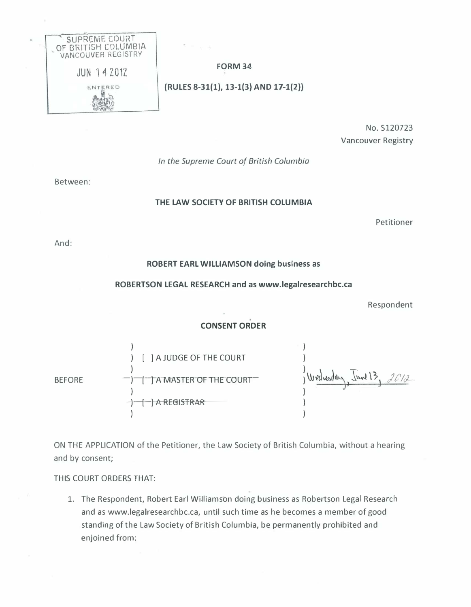

# FORM 34

(RULES 8-31(1), 13-1{3) AND 17-1(2))

No. S120723 Vancouver Registry

# In the Supreme Court of British Columbia

Between:

## THE LAW SOCIETY OF BRITISH COLUMBIA

Petitioner

And:

## ROBERT EARL WILLIAMSON doing business as

### ROBERTSON LEGAL RESEARCH and as www.legalresearchbc.ca

Respondent

# CONSENT ORDER

BEFORE ) ) [ ] A JUDGE OF THE COURT ) [TAMASTERTOF THE COURTT )  $\Box$  A REGISTRAR ) ) ) Wed word in l ) )

ON THE APPLICATION of the Petitioner, the Law Society of British Columbia, without a hearing and by consent;

## THIS COURT ORDERS THAT:

1. The Respondent, Robert Earl Williamson doing business as Robertson Legal Research and as www.legalresearchbc.ca, until such time as he becomes a member of good standing of the Law Society of British Columbia, be permanently prohibited and enjoined from: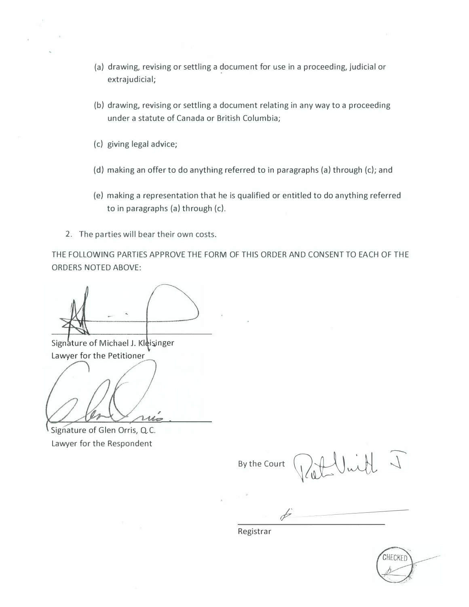- (a) drawing, revising or settling a document for use in a proceeding, judicial or extrajudicial;
- (b) drawing, revising or settling a document relating in any way to a proceeding under a statute of Canada or British Columbia;
- (c) giving legal advice;
- (d) making an offer to do anything referred to in paragraphs (a) through (c); and
- (e) making a representation that he is qualified or entitled to do anything referred to in paragraphs (a) through (c).
- 2. The parties will bear their own costs.

THE FOLLOWING PARTIES APPROVE THE FORM OF THIS ORDER AND CONSENT TO EACH OF THE ORDERS NOTED ABOVE:

Signature of Michael J. Kleisinger Lawyer for the Petitioner

Signature of Glen Orris, Q.C. Lawyer for the Respondent

 $\sqrt{2}$ wh By the Court

 $\phi$ 

Registrar